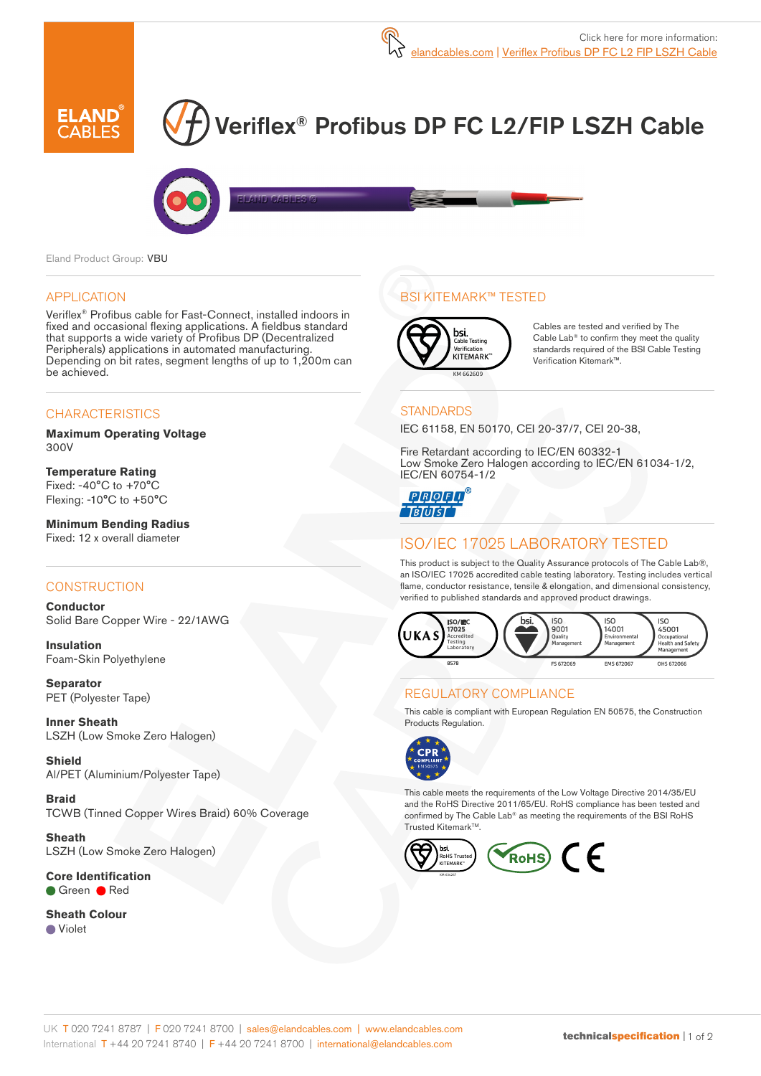

# Veriflex® Profibus DP FC L2/FIP LSZH Cable



Eland Product Group: VBU

#### APPLICATION

Veriflex® Profibus cable for Fast-Connect, installed indoors in fixed and occasional flexing applications. A fieldbus standard that supports a wide variety of Profibus DP (Decentralized Peripherals) applications in automated manufacturing. Depending on bit rates, segment lengths of up to 1,200m can be achieved.

## **CHARACTERISTICS**

**Maximum Operating Voltage**  300V

**Temperature Rating** Fixed: -40°C to +70°C Flexing: -10°C to +50°C

**Minimum Bending Radius**  Fixed: 12 x overall diameter

## **CONSTRUCTION**

**Conductor** Solid Bare Copper Wire - 22/1AWG

**Insulation** Foam-Skin Polyethylene

**Separator** PET (Polyester Tape)

**Inner Sheath** LSZH (Low Smoke Zero Halogen)

**Shield** Al/PET (Aluminium/Polyester Tape)

**Braid** TCWB (Tinned Copper Wires Braid) 60% Coverage

**Sheath** LSZH (Low Smoke Zero Halogen)

**Core Identification** Green **Red** 

**Sheath Colour** Violet

## BSI KITEMARK™ TESTED



Cables are tested and verified by The Cable Lab® to confirm they meet the quality standards required of the BSI Cable Testing Verification Kitemark™.

#### **STANDARDS**

IEC 61158, EN 50170, CEI 20-37/7, CEI 20-38,

Fire Retardant according to IEC/EN 60332-1 Low Smoke Zero Halogen according to IEC/EN 61034-1/2, IEC/EN 60754-1/2

**QQQQQ TBTUTST** 

# ISO/IEC 17025 LABORATORY TESTED

This product is subject to the Quality Assurance protocols of The Cable Lab®, an ISO/IEC 17025 accredited cable testing laboratory. Testing includes vertical flame, conductor resistance, tensile & elongation, and dimensional consistency, verified to published standards and approved product drawings.



## REGULATORY COMPLIANCE

This cable is compliant with European Regulation EN 50575, the Construction Products Regulation.



This cable meets the requirements of the Low Voltage Directive 2014/35/EU and the RoHS Directive 2011/65/EU. RoHS compliance has been tested and confirmed by The Cable Lab® as meeting the requirements of the BSI RoHS Trusted Kitemark™.